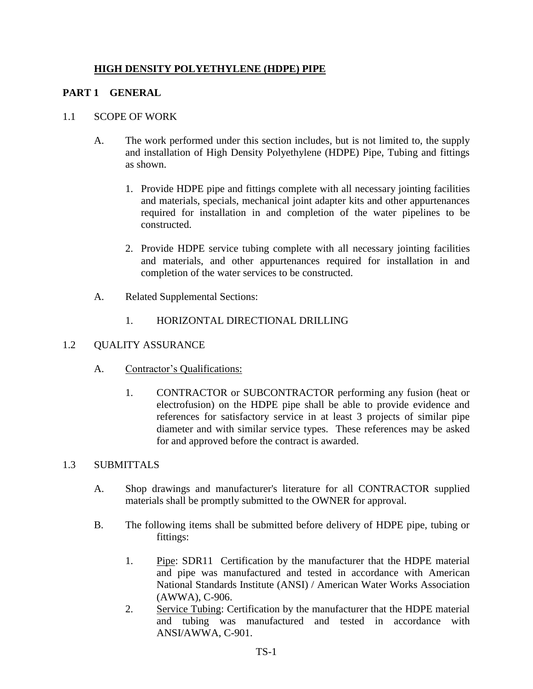### **HIGH DENSITY POLYETHYLENE (HDPE) PIPE**

### **PART 1 GENERAL**

#### 1.1 SCOPE OF WORK

- A. The work performed under this section includes, but is not limited to, the supply and installation of High Density Polyethylene (HDPE) Pipe, Tubing and fittings as shown.
	- 1. Provide HDPE pipe and fittings complete with all necessary jointing facilities and materials, specials, mechanical joint adapter kits and other appurtenances required for installation in and completion of the water pipelines to be constructed.
	- 2. Provide HDPE service tubing complete with all necessary jointing facilities and materials, and other appurtenances required for installation in and completion of the water services to be constructed.
- A. Related Supplemental Sections:
	- 1. HORIZONTAL DIRECTIONAL DRILLING

### 1.2 QUALITY ASSURANCE

- A. Contractor's Qualifications:
	- 1. CONTRACTOR or SUBCONTRACTOR performing any fusion (heat or electrofusion) on the HDPE pipe shall be able to provide evidence and references for satisfactory service in at least 3 projects of similar pipe diameter and with similar service types. These references may be asked for and approved before the contract is awarded.

#### 1.3 SUBMITTALS

- A. Shop drawings and manufacturer's literature for all CONTRACTOR supplied materials shall be promptly submitted to the OWNER for approval.
- B. The following items shall be submitted before delivery of HDPE pipe, tubing or fittings:
	- 1. Pipe: SDR11 Certification by the manufacturer that the HDPE material and pipe was manufactured and tested in accordance with American National Standards Institute (ANSI) / American Water Works Association (AWWA), C-906.
	- 2. Service Tubing: Certification by the manufacturer that the HDPE material and tubing was manufactured and tested in accordance with ANSI/AWWA, C-901.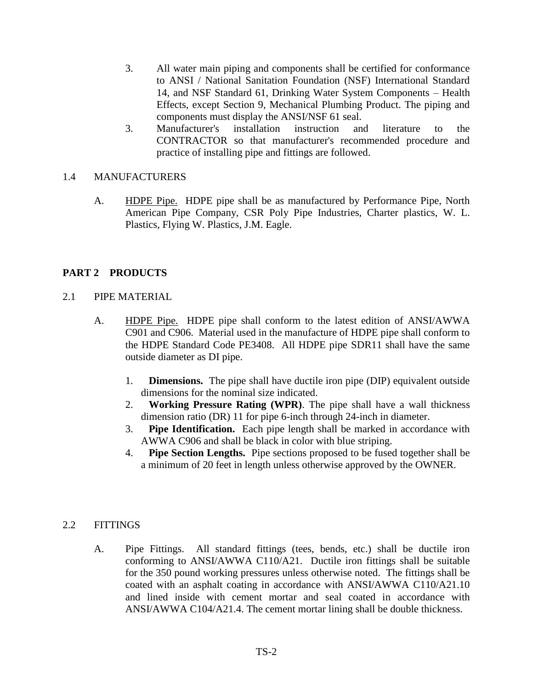- 3. All water main piping and components shall be certified for conformance to ANSI / National Sanitation Foundation (NSF) International Standard 14, and NSF Standard 61, Drinking Water System Components – Health Effects, except Section 9, Mechanical Plumbing Product. The piping and components must display the ANSI/NSF 61 seal.
- 3. Manufacturer's installation instruction and literature to the CONTRACTOR so that manufacturer's recommended procedure and practice of installing pipe and fittings are followed.

#### 1.4 MANUFACTURERS

A. **HDPE Pipe.** HDPE pipe shall be as manufactured by Performance Pipe, North American Pipe Company, CSR Poly Pipe Industries, Charter plastics, W. L. Plastics, Flying W. Plastics, J.M. Eagle.

### **PART 2 PRODUCTS**

#### 2.1 PIPE MATERIAL

- A. HDPE Pipe. HDPE pipe shall conform to the latest edition of ANSI/AWWA C901 and C906. Material used in the manufacture of HDPE pipe shall conform to the HDPE Standard Code PE3408. All HDPE pipe SDR11 shall have the same outside diameter as DI pipe.
	- 1. **Dimensions.** The pipe shall have ductile iron pipe (DIP) equivalent outside dimensions for the nominal size indicated.
	- 2. **Working Pressure Rating (WPR)**. The pipe shall have a wall thickness dimension ratio (DR) 11 for pipe 6-inch through 24-inch in diameter.
	- 3. **Pipe Identification.** Each pipe length shall be marked in accordance with AWWA C906 and shall be black in color with blue striping.
	- 4. **Pipe Section Lengths.** Pipe sections proposed to be fused together shall be a minimum of 20 feet in length unless otherwise approved by the OWNER.

#### 2.2 FITTINGS

A. Pipe Fittings. All standard fittings (tees, bends, etc.) shall be ductile iron conforming to ANSI/AWWA C110/A21. Ductile iron fittings shall be suitable for the 350 pound working pressures unless otherwise noted. The fittings shall be coated with an asphalt coating in accordance with ANSI/AWWA C110/A21.10 and lined inside with cement mortar and seal coated in accordance with ANSI/AWWA C104/A21.4. The cement mortar lining shall be double thickness.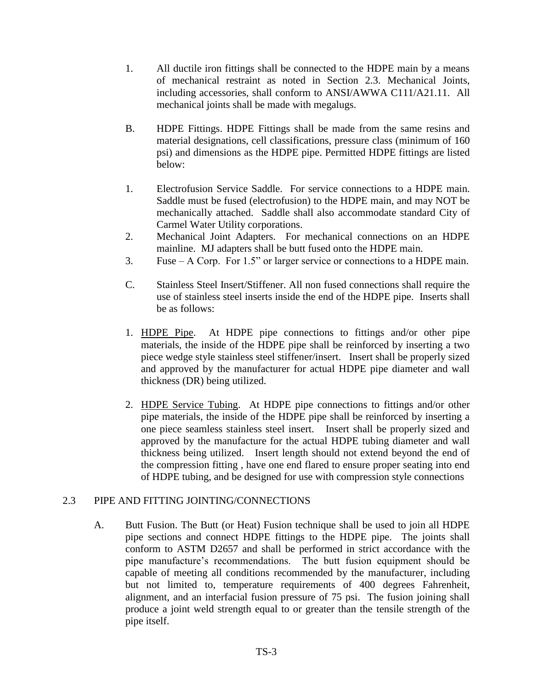- 1. All ductile iron fittings shall be connected to the HDPE main by a means of mechanical restraint as noted in Section 2.3. Mechanical Joints, including accessories, shall conform to ANSI/AWWA C111/A21.11. All mechanical joints shall be made with megalugs.
- B. HDPE Fittings. HDPE Fittings shall be made from the same resins and material designations, cell classifications, pressure class (minimum of 160 psi) and dimensions as the HDPE pipe. Permitted HDPE fittings are listed below:
- 1. Electrofusion Service Saddle. For service connections to a HDPE main. Saddle must be fused (electrofusion) to the HDPE main, and may NOT be mechanically attached. Saddle shall also accommodate standard City of Carmel Water Utility corporations.
- 2. Mechanical Joint Adapters. For mechanical connections on an HDPE mainline. MJ adapters shall be butt fused onto the HDPE main.
- 3. Fuse A Corp. For 1.5" or larger service or connections to a HDPE main.
- C. Stainless Steel Insert/Stiffener. All non fused connections shall require the use of stainless steel inserts inside the end of the HDPE pipe. Inserts shall be as follows:
- 1. HDPE Pipe. At HDPE pipe connections to fittings and/or other pipe materials, the inside of the HDPE pipe shall be reinforced by inserting a two piece wedge style stainless steel stiffener/insert. Insert shall be properly sized and approved by the manufacturer for actual HDPE pipe diameter and wall thickness (DR) being utilized.
- 2. HDPE Service Tubing. At HDPE pipe connections to fittings and/or other pipe materials, the inside of the HDPE pipe shall be reinforced by inserting a one piece seamless stainless steel insert. Insert shall be properly sized and approved by the manufacture for the actual HDPE tubing diameter and wall thickness being utilized. Insert length should not extend beyond the end of the compression fitting , have one end flared to ensure proper seating into end of HDPE tubing, and be designed for use with compression style connections

### 2.3 PIPE AND FITTING JOINTING/CONNECTIONS

A. Butt Fusion. The Butt (or Heat) Fusion technique shall be used to join all HDPE pipe sections and connect HDPE fittings to the HDPE pipe. The joints shall conform to ASTM D2657 and shall be performed in strict accordance with the pipe manufacture's recommendations. The butt fusion equipment should be capable of meeting all conditions recommended by the manufacturer, including but not limited to, temperature requirements of 400 degrees Fahrenheit, alignment, and an interfacial fusion pressure of 75 psi. The fusion joining shall produce a joint weld strength equal to or greater than the tensile strength of the pipe itself.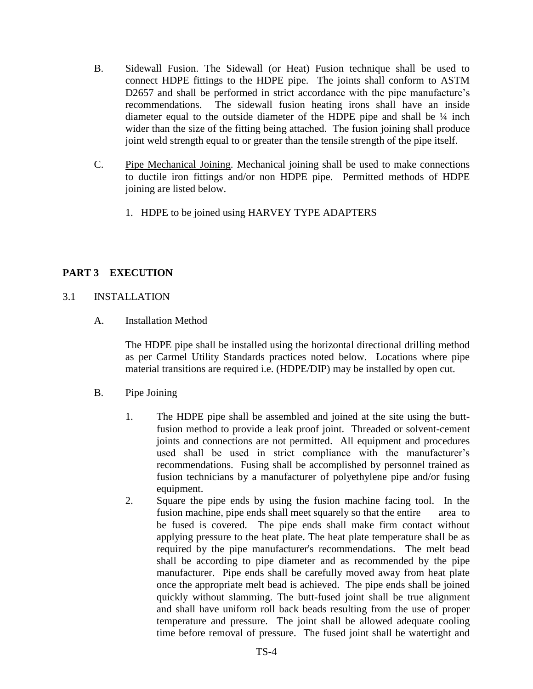- B. Sidewall Fusion. The Sidewall (or Heat) Fusion technique shall be used to connect HDPE fittings to the HDPE pipe. The joints shall conform to ASTM D2657 and shall be performed in strict accordance with the pipe manufacture's recommendations. The sidewall fusion heating irons shall have an inside diameter equal to the outside diameter of the HDPE pipe and shall be  $\frac{1}{4}$  inch wider than the size of the fitting being attached. The fusion joining shall produce joint weld strength equal to or greater than the tensile strength of the pipe itself.
- C. Pipe Mechanical Joining. Mechanical joining shall be used to make connections to ductile iron fittings and/or non HDPE pipe. Permitted methods of HDPE joining are listed below.
	- 1. HDPE to be joined using HARVEY TYPE ADAPTERS

# **PART 3 EXECUTION**

### 3.1 INSTALLATION

A. Installation Method

The HDPE pipe shall be installed using the horizontal directional drilling method as per Carmel Utility Standards practices noted below. Locations where pipe material transitions are required i.e. (HDPE/DIP) may be installed by open cut.

- B. Pipe Joining
	- 1. The HDPE pipe shall be assembled and joined at the site using the buttfusion method to provide a leak proof joint. Threaded or solvent-cement joints and connections are not permitted. All equipment and procedures used shall be used in strict compliance with the manufacturer's recommendations. Fusing shall be accomplished by personnel trained as fusion technicians by a manufacturer of polyethylene pipe and/or fusing equipment.
	- 2. Square the pipe ends by using the fusion machine facing tool. In the fusion machine, pipe ends shall meet squarely so that the entire area to be fused is covered. The pipe ends shall make firm contact without applying pressure to the heat plate. The heat plate temperature shall be as required by the pipe manufacturer's recommendations. The melt bead shall be according to pipe diameter and as recommended by the pipe manufacturer. Pipe ends shall be carefully moved away from heat plate once the appropriate melt bead is achieved. The pipe ends shall be joined quickly without slamming. The butt-fused joint shall be true alignment and shall have uniform roll back beads resulting from the use of proper temperature and pressure. The joint shall be allowed adequate cooling time before removal of pressure. The fused joint shall be watertight and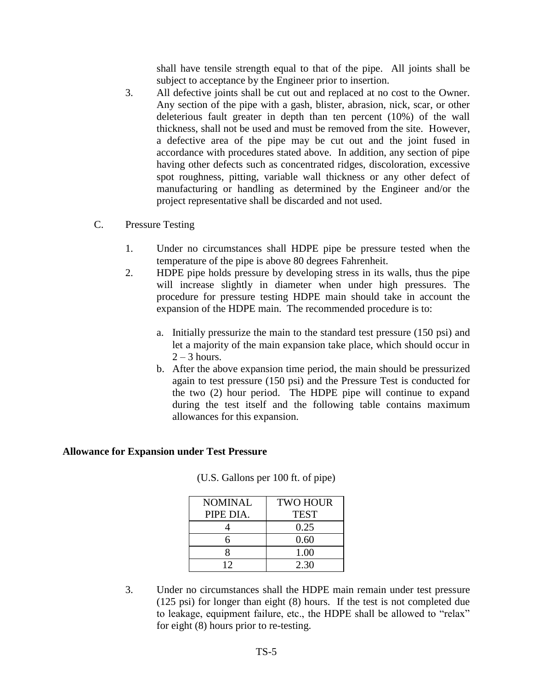shall have tensile strength equal to that of the pipe. All joints shall be subject to acceptance by the Engineer prior to insertion.

- 3. All defective joints shall be cut out and replaced at no cost to the Owner. Any section of the pipe with a gash, blister, abrasion, nick, scar, or other deleterious fault greater in depth than ten percent (10%) of the wall thickness, shall not be used and must be removed from the site. However, a defective area of the pipe may be cut out and the joint fused in accordance with procedures stated above. In addition, any section of pipe having other defects such as concentrated ridges, discoloration, excessive spot roughness, pitting, variable wall thickness or any other defect of manufacturing or handling as determined by the Engineer and/or the project representative shall be discarded and not used.
- C. Pressure Testing
	- 1. Under no circumstances shall HDPE pipe be pressure tested when the temperature of the pipe is above 80 degrees Fahrenheit.
	- 2. HDPE pipe holds pressure by developing stress in its walls, thus the pipe will increase slightly in diameter when under high pressures. The procedure for pressure testing HDPE main should take in account the expansion of the HDPE main. The recommended procedure is to:
		- a. Initially pressurize the main to the standard test pressure (150 psi) and let a majority of the main expansion take place, which should occur in  $2 - 3$  hours.
		- b. After the above expansion time period, the main should be pressurized again to test pressure (150 psi) and the Pressure Test is conducted for the two (2) hour period. The HDPE pipe will continue to expand during the test itself and the following table contains maximum allowances for this expansion.

#### **Allowance for Expansion under Test Pressure**

| <b>NOMINAL</b> | <b>TWO HOUR</b> |
|----------------|-----------------|
| PIPE DIA.      | <b>TEST</b>     |
|                | 0.25            |
| 6              | 0.60            |
| 8              | 1.00            |
| 12             | 2.30            |

(U.S. Gallons per 100 ft. of pipe)

3. Under no circumstances shall the HDPE main remain under test pressure (125 psi) for longer than eight (8) hours. If the test is not completed due to leakage, equipment failure, etc., the HDPE shall be allowed to "relax" for eight (8) hours prior to re-testing.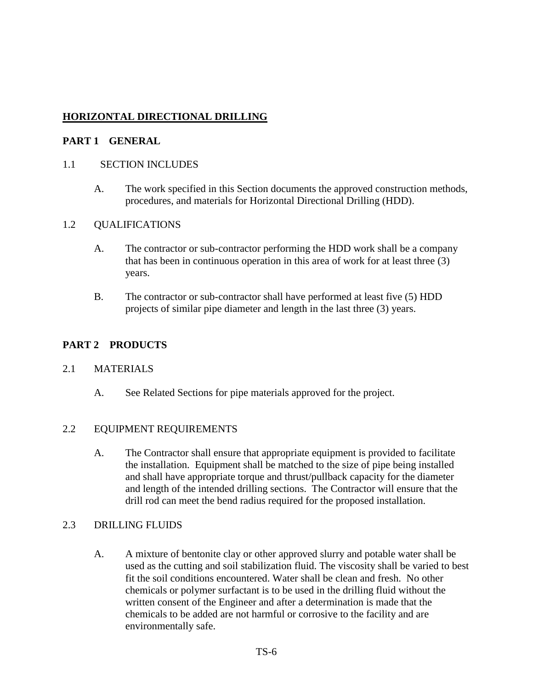# **HORIZONTAL DIRECTIONAL DRILLING**

#### **PART 1 GENERAL**

#### 1.1 SECTION INCLUDES

A. The work specified in this Section documents the approved construction methods, procedures, and materials for Horizontal Directional Drilling (HDD).

#### 1.2 QUALIFICATIONS

- A. The contractor or sub-contractor performing the HDD work shall be a company that has been in continuous operation in this area of work for at least three (3) years.
- B. The contractor or sub-contractor shall have performed at least five (5) HDD projects of similar pipe diameter and length in the last three (3) years.

### **PART 2 PRODUCTS**

#### 2.1 MATERIALS

A. See Related Sections for pipe materials approved for the project.

### 2.2 EQUIPMENT REQUIREMENTS

A. The Contractor shall ensure that appropriate equipment is provided to facilitate the installation. Equipment shall be matched to the size of pipe being installed and shall have appropriate torque and thrust/pullback capacity for the diameter and length of the intended drilling sections. The Contractor will ensure that the drill rod can meet the bend radius required for the proposed installation.

#### 2.3 DRILLING FLUIDS

A. A mixture of bentonite clay or other approved slurry and potable water shall be used as the cutting and soil stabilization fluid. The viscosity shall be varied to best fit the soil conditions encountered. Water shall be clean and fresh. No other chemicals or polymer surfactant is to be used in the drilling fluid without the written consent of the Engineer and after a determination is made that the chemicals to be added are not harmful or corrosive to the facility and are environmentally safe.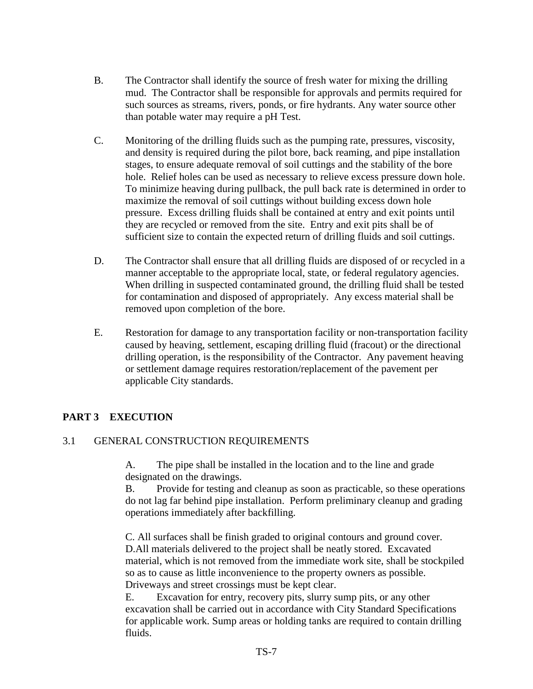- B. The Contractor shall identify the source of fresh water for mixing the drilling mud. The Contractor shall be responsible for approvals and permits required for such sources as streams, rivers, ponds, or fire hydrants. Any water source other than potable water may require a pH Test.
- C. Monitoring of the drilling fluids such as the pumping rate, pressures, viscosity, and density is required during the pilot bore, back reaming, and pipe installation stages, to ensure adequate removal of soil cuttings and the stability of the bore hole. Relief holes can be used as necessary to relieve excess pressure down hole. To minimize heaving during pullback, the pull back rate is determined in order to maximize the removal of soil cuttings without building excess down hole pressure. Excess drilling fluids shall be contained at entry and exit points until they are recycled or removed from the site. Entry and exit pits shall be of sufficient size to contain the expected return of drilling fluids and soil cuttings.
- D. The Contractor shall ensure that all drilling fluids are disposed of or recycled in a manner acceptable to the appropriate local, state, or federal regulatory agencies. When drilling in suspected contaminated ground, the drilling fluid shall be tested for contamination and disposed of appropriately. Any excess material shall be removed upon completion of the bore.
- E. Restoration for damage to any transportation facility or non-transportation facility caused by heaving, settlement, escaping drilling fluid (fracout) or the directional drilling operation, is the responsibility of the Contractor. Any pavement heaving or settlement damage requires restoration/replacement of the pavement per applicable City standards.

# **PART 3 EXECUTION**

### 3.1 GENERAL CONSTRUCTION REQUIREMENTS

A. The pipe shall be installed in the location and to the line and grade designated on the drawings.

B. Provide for testing and cleanup as soon as practicable, so these operations do not lag far behind pipe installation. Perform preliminary cleanup and grading operations immediately after backfilling.

 C. All surfaces shall be finish graded to original contours and ground cover. D.All materials delivered to the project shall be neatly stored. Excavated material, which is not removed from the immediate work site, shall be stockpiled so as to cause as little inconvenience to the property owners as possible. Driveways and street crossings must be kept clear.

E. Excavation for entry, recovery pits, slurry sump pits, or any other excavation shall be carried out in accordance with City Standard Specifications for applicable work. Sump areas or holding tanks are required to contain drilling fluids.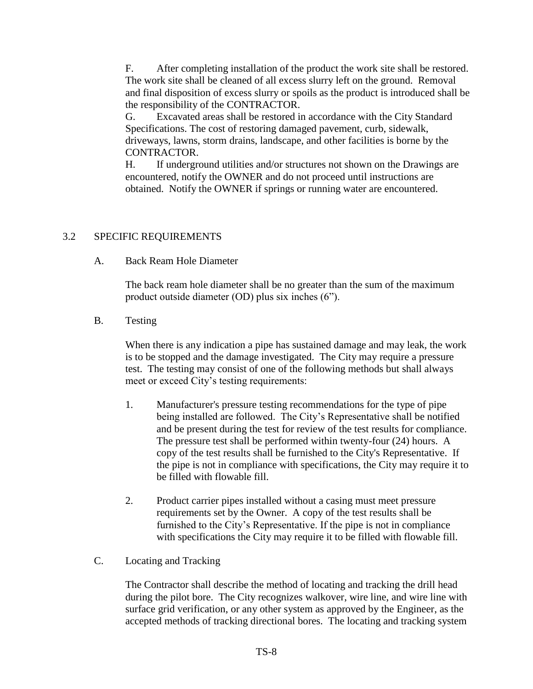F. After completing installation of the product the work site shall be restored. The work site shall be cleaned of all excess slurry left on the ground. Removal and final disposition of excess slurry or spoils as the product is introduced shall be the responsibility of the CONTRACTOR.

G. Excavated areas shall be restored in accordance with the City Standard Specifications. The cost of restoring damaged pavement, curb, sidewalk, driveways, lawns, storm drains, landscape, and other facilities is borne by the CONTRACTOR.

H. If underground utilities and/or structures not shown on the Drawings are encountered, notify the OWNER and do not proceed until instructions are obtained. Notify the OWNER if springs or running water are encountered.

## 3.2 SPECIFIC REQUIREMENTS

A. Back Ream Hole Diameter

The back ream hole diameter shall be no greater than the sum of the maximum product outside diameter (OD) plus six inches (6").

B. Testing

When there is any indication a pipe has sustained damage and may leak, the work is to be stopped and the damage investigated. The City may require a pressure test. The testing may consist of one of the following methods but shall always meet or exceed City's testing requirements:

- 1. Manufacturer's pressure testing recommendations for the type of pipe being installed are followed. The City's Representative shall be notified and be present during the test for review of the test results for compliance. The pressure test shall be performed within twenty-four (24) hours. A copy of the test results shall be furnished to the City's Representative. If the pipe is not in compliance with specifications, the City may require it to be filled with flowable fill.
- 2. Product carrier pipes installed without a casing must meet pressure requirements set by the Owner. A copy of the test results shall be furnished to the City's Representative. If the pipe is not in compliance with specifications the City may require it to be filled with flowable fill.
- C. Locating and Tracking

The Contractor shall describe the method of locating and tracking the drill head during the pilot bore. The City recognizes walkover, wire line, and wire line with surface grid verification, or any other system as approved by the Engineer, as the accepted methods of tracking directional bores. The locating and tracking system